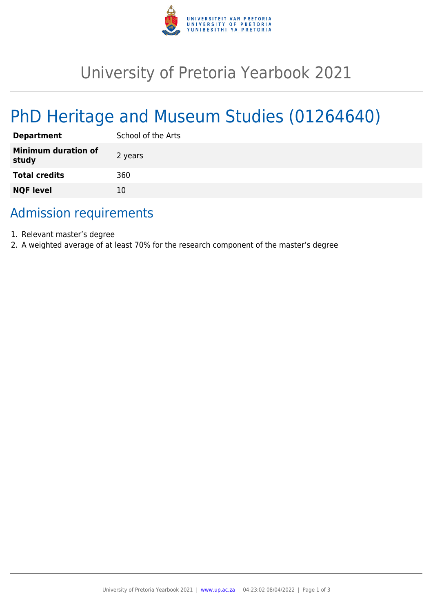

## University of Pretoria Yearbook 2021

# PhD Heritage and Museum Studies (01264640)

| <b>Department</b>                   | School of the Arts |
|-------------------------------------|--------------------|
| <b>Minimum duration of</b><br>study | 2 years            |
| <b>Total credits</b>                | 360                |
| <b>NQF level</b>                    | 10                 |

### Admission requirements

- 1. Relevant master's degree
- 2. A weighted average of at least 70% for the research component of the master's degree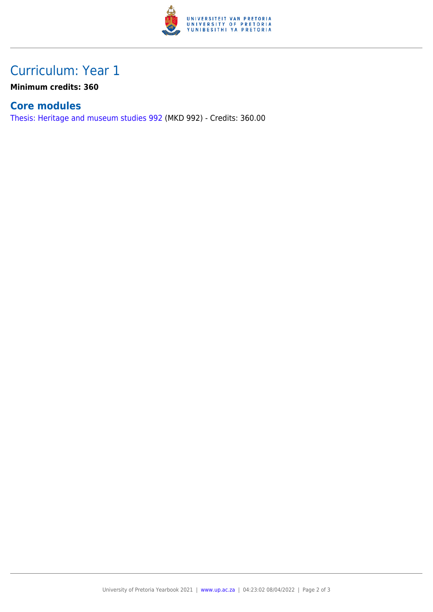

## Curriculum: Year 1

**Minimum credits: 360**

#### **Core modules**

[Thesis: Heritage and museum studies 992](https://www.up.ac.za/yearbooks/2021/modules/view/MKD 992) (MKD 992) - Credits: 360.00